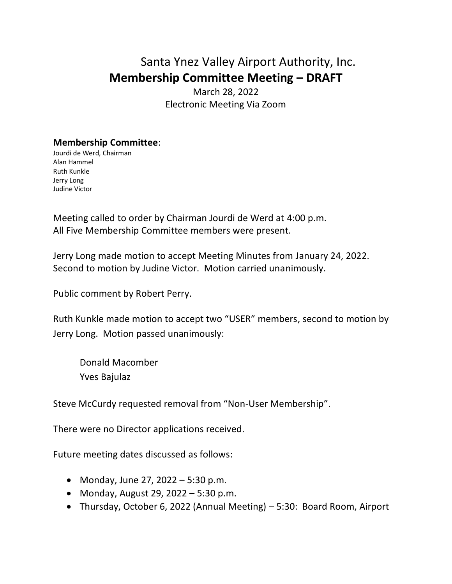## Santa Ynez Valley Airport Authority, Inc. **Membership Committee Meeting – DRAFT**

March 28, 2022 Electronic Meeting Via Zoom

## **Membership Committee**:

Jourdi de Werd, Chairman Alan Hammel Ruth Kunkle Jerry Long Judine Victor

Meeting called to order by Chairman Jourdi de Werd at 4:00 p.m. All Five Membership Committee members were present.

Jerry Long made motion to accept Meeting Minutes from January 24, 2022. Second to motion by Judine Victor. Motion carried unanimously.

Public comment by Robert Perry.

Ruth Kunkle made motion to accept two "USER" members, second to motion by Jerry Long. Motion passed unanimously:

Donald Macomber Yves Bajulaz

Steve McCurdy requested removal from "Non-User Membership".

There were no Director applications received.

Future meeting dates discussed as follows:

- Monday, June 27, 2022 5:30 p.m.
- Monday, August 29, 2022 5:30 p.m.
- Thursday, October 6, 2022 (Annual Meeting) 5:30: Board Room, Airport